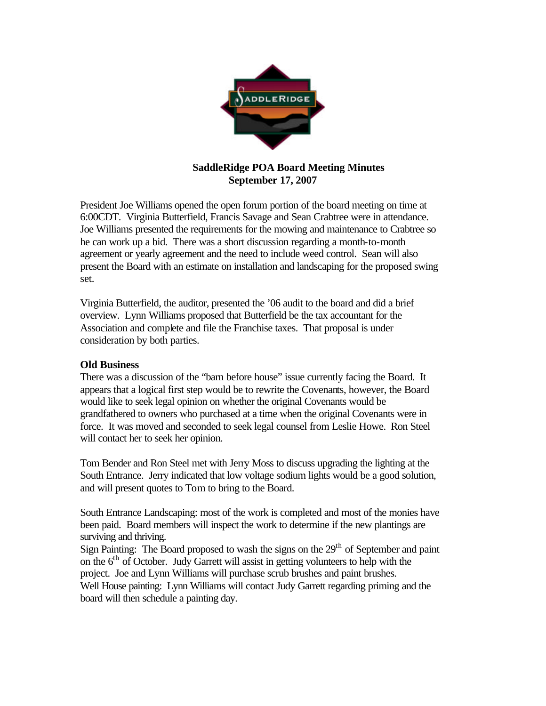

## **SaddleRidge POA Board Meeting Minutes September 17, 2007**

President Joe Williams opened the open forum portion of the board meeting on time at 6:00CDT. Virginia Butterfield, Francis Savage and Sean Crabtree were in attendance. Joe Williams presented the requirements for the mowing and maintenance to Crabtree so he can work up a bid. There was a short discussion regarding a month-to-month agreement or yearly agreement and the need to include weed control. Sean will also present the Board with an estimate on installation and landscaping for the proposed swing set.

Virginia Butterfield, the auditor, presented the '06 audit to the board and did a brief overview. Lynn Williams proposed that Butterfield be the tax accountant for the Association and complete and file the Franchise taxes. That proposal is under consideration by both parties.

## **Old Business**

There was a discussion of the "barn before house" issue currently facing the Board. It appears that a logical first step would be to rewrite the Covenants, however, the Board would like to seek legal opinion on whether the original Covenants would be grandfathered to owners who purchased at a time when the original Covenants were in force. It was moved and seconded to seek legal counsel from Leslie Howe. Ron Steel will contact her to seek her opinion.

Tom Bender and Ron Steel met with Jerry Moss to discuss upgrading the lighting at the South Entrance. Jerry indicated that low voltage sodium lights would be a good solution, and will present quotes to Tom to bring to the Board.

South Entrance Landscaping: most of the work is completed and most of the monies have been paid. Board members will inspect the work to determine if the new plantings are surviving and thriving.

Sign Painting: The Board proposed to wash the signs on the  $29<sup>th</sup>$  of September and paint on the  $6<sup>th</sup>$  of October. Judy Garrett will assist in getting volunteers to help with the project. Joe and Lynn Williams will purchase scrub brushes and paint brushes.

Well House painting: Lynn Williams will contact Judy Garrett regarding priming and the board will then schedule a painting day.